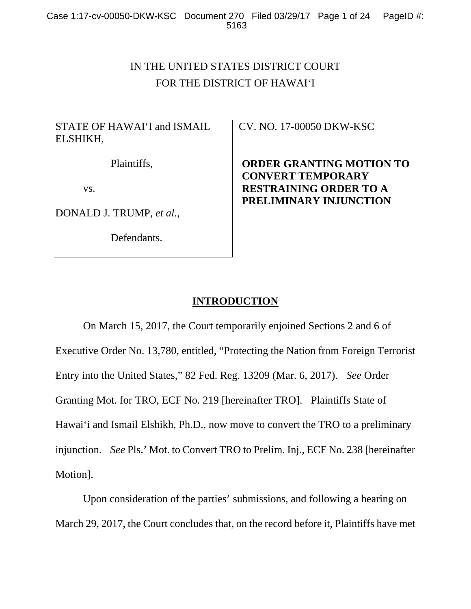# IN THE UNITED STATES DISTRICT COURT FOR THE DISTRICT OF HAWAI'I

# STATE OF HAWAI'I and ISMAIL ELSHIKH,

Plaintiffs,

vs.

DONALD J. TRUMP, *et al*.,

Defendants.

CV. NO. 17-00050 DKW-KSC

**ORDER GRANTING MOTION TO CONVERT TEMPORARY RESTRAINING ORDER TO A PRELIMINARY INJUNCTION** 

# **INTRODUCTION**

 On March 15, 2017, the Court temporarily enjoined Sections 2 and 6 of Executive Order No. 13,780, entitled, "Protecting the Nation from Foreign Terrorist Entry into the United States," 82 Fed. Reg. 13209 (Mar. 6, 2017). *See* Order Granting Mot. for TRO, ECF No. 219 [hereinafter TRO]. Plaintiffs State of Hawai'i and Ismail Elshikh, Ph.D., now move to convert the TRO to a preliminary injunction. *See* Pls.' Mot. to Convert TRO to Prelim. Inj., ECF No. 238 [hereinafter Motion].

 Upon consideration of the parties' submissions, and following a hearing on March 29, 2017, the Court concludes that, on the record before it, Plaintiffs have met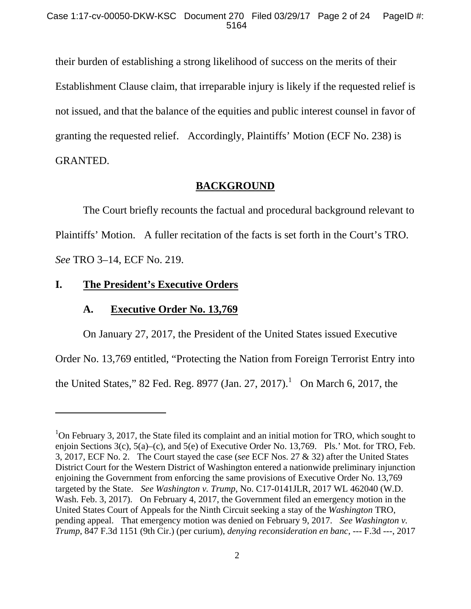their burden of establishing a strong likelihood of success on the merits of their Establishment Clause claim, that irreparable injury is likely if the requested relief is not issued, and that the balance of the equities and public interest counsel in favor of granting the requested relief. Accordingly, Plaintiffs' Motion (ECF No. 238) is GRANTED.

# **BACKGROUND**

 The Court briefly recounts the factual and procedural background relevant to Plaintiffs' Motion. A fuller recitation of the facts is set forth in the Court's TRO. *See* TRO 3–14, ECF No. 219.

# **I. The President's Executive Orders**

 $\overline{a}$ 

# **A. Executive Order No. 13,769**

 On January 27, 2017, the President of the United States issued Executive Order No. 13,769 entitled, "Protecting the Nation from Foreign Terrorist Entry into the United States," 82 Fed. Reg. 8977 (Jan. 27, 2017).  $\frac{1}{10}$  On March 6, 2017, the

<sup>&</sup>lt;sup>1</sup>On February 3, 2017, the State filed its complaint and an initial motion for TRO, which sought to enjoin Sections 3(c), 5(a)–(c), and 5(e) of Executive Order No. 13,769. Pls.' Mot. for TRO, Feb. 3, 2017, ECF No. 2. The Court stayed the case (*see* ECF Nos. 27 & 32) after the United States District Court for the Western District of Washington entered a nationwide preliminary injunction enjoining the Government from enforcing the same provisions of Executive Order No. 13,769 targeted by the State. *See Washington v. Trump*, No. C17-0141JLR, 2017 WL 462040 (W.D. Wash. Feb. 3, 2017). On February 4, 2017, the Government filed an emergency motion in the United States Court of Appeals for the Ninth Circuit seeking a stay of the *Washington* TRO, pending appeal. That emergency motion was denied on February 9, 2017. *See Washington v. Trump*, 847 F.3d 1151 (9th Cir.) (per curium), *denying reconsideration en banc*, --- F.3d ---, 2017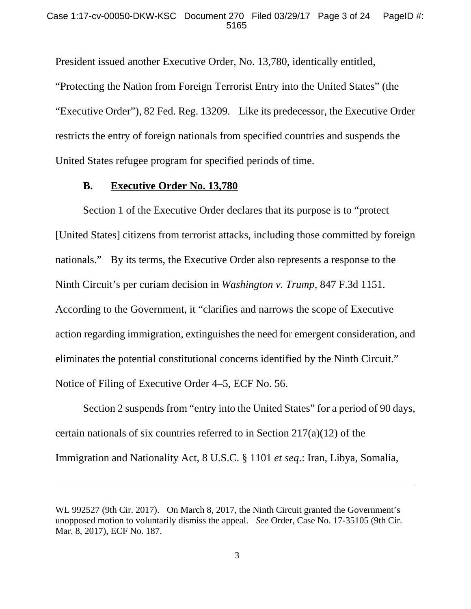President issued another Executive Order, No. 13,780, identically entitled, "Protecting the Nation from Foreign Terrorist Entry into the United States" (the "Executive Order"), 82 Fed. Reg. 13209. Like its predecessor, the Executive Order restricts the entry of foreign nationals from specified countries and suspends the United States refugee program for specified periods of time.

### **B. Executive Order No. 13,780**

l

 Section 1 of the Executive Order declares that its purpose is to "protect [United States] citizens from terrorist attacks, including those committed by foreign nationals." By its terms, the Executive Order also represents a response to the Ninth Circuit's per curiam decision in *Washington v. Trump*, 847 F.3d 1151. According to the Government, it "clarifies and narrows the scope of Executive action regarding immigration, extinguishes the need for emergent consideration, and eliminates the potential constitutional concerns identified by the Ninth Circuit." Notice of Filing of Executive Order 4–5, ECF No. 56.

 Section 2 suspends from "entry into the United States" for a period of 90 days, certain nationals of six countries referred to in Section 217(a)(12) of the Immigration and Nationality Act, 8 U.S.C. § 1101 *et seq*.: Iran, Libya, Somalia,

WL 992527 (9th Cir. 2017). On March 8, 2017, the Ninth Circuit granted the Government's unopposed motion to voluntarily dismiss the appeal. *See* Order, Case No. 17-35105 (9th Cir. Mar. 8, 2017), ECF No. 187.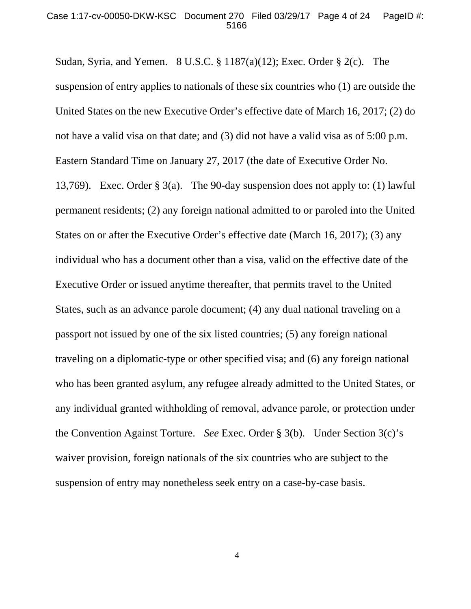Sudan, Syria, and Yemen. 8 U.S.C. § 1187(a)(12); Exec. Order § 2(c). The suspension of entry applies to nationals of these six countries who (1) are outside the United States on the new Executive Order's effective date of March 16, 2017; (2) do not have a valid visa on that date; and (3) did not have a valid visa as of 5:00 p.m. Eastern Standard Time on January 27, 2017 (the date of Executive Order No. 13,769). Exec. Order § 3(a). The 90-day suspension does not apply to: (1) lawful permanent residents; (2) any foreign national admitted to or paroled into the United States on or after the Executive Order's effective date (March 16, 2017); (3) any individual who has a document other than a visa, valid on the effective date of the Executive Order or issued anytime thereafter, that permits travel to the United States, such as an advance parole document; (4) any dual national traveling on a passport not issued by one of the six listed countries; (5) any foreign national traveling on a diplomatic-type or other specified visa; and (6) any foreign national who has been granted asylum, any refugee already admitted to the United States, or any individual granted withholding of removal, advance parole, or protection under the Convention Against Torture. *See* Exec. Order § 3(b). Under Section 3(c)'s waiver provision, foreign nationals of the six countries who are subject to the suspension of entry may nonetheless seek entry on a case-by-case basis.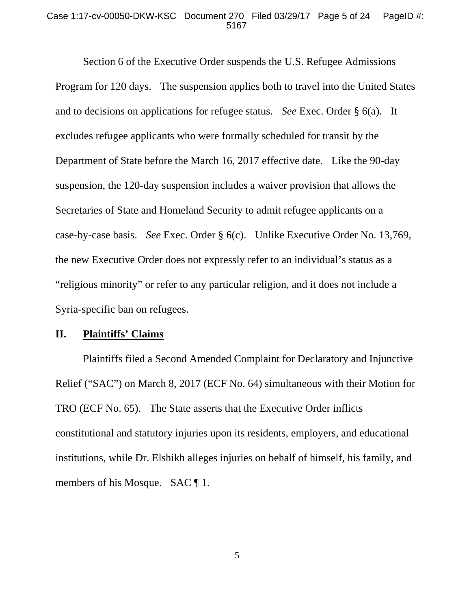#### Case 1:17-cv-00050-DKW-KSC Document 270 Filed 03/29/17 Page 5 of 24 PageID #: 5167

 Section 6 of the Executive Order suspends the U.S. Refugee Admissions Program for 120 days. The suspension applies both to travel into the United States and to decisions on applications for refugee status. *See* Exec. Order § 6(a). It excludes refugee applicants who were formally scheduled for transit by the Department of State before the March 16, 2017 effective date. Like the 90-day suspension, the 120-day suspension includes a waiver provision that allows the Secretaries of State and Homeland Security to admit refugee applicants on a case-by-case basis. *See* Exec. Order § 6(c). Unlike Executive Order No. 13,769, the new Executive Order does not expressly refer to an individual's status as a "religious minority" or refer to any particular religion, and it does not include a Syria-specific ban on refugees.

### **II. Plaintiffs' Claims**

 Plaintiffs filed a Second Amended Complaint for Declaratory and Injunctive Relief ("SAC") on March 8, 2017 (ECF No. 64) simultaneous with their Motion for TRO (ECF No. 65). The State asserts that the Executive Order inflicts constitutional and statutory injuries upon its residents, employers, and educational institutions, while Dr. Elshikh alleges injuries on behalf of himself, his family, and members of his Mosque. SAC ¶ 1.

5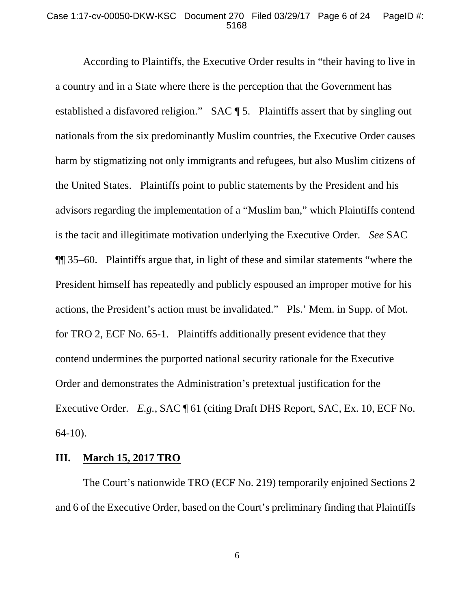#### Case 1:17-cv-00050-DKW-KSC Document 270 Filed 03/29/17 Page 6 of 24 PageID #: 5168

 According to Plaintiffs, the Executive Order results in "their having to live in a country and in a State where there is the perception that the Government has established a disfavored religion." SAC ¶ 5. Plaintiffs assert that by singling out nationals from the six predominantly Muslim countries, the Executive Order causes harm by stigmatizing not only immigrants and refugees, but also Muslim citizens of the United States. Plaintiffs point to public statements by the President and his advisors regarding the implementation of a "Muslim ban," which Plaintiffs contend is the tacit and illegitimate motivation underlying the Executive Order. *See* SAC ¶¶ 35–60. Plaintiffs argue that, in light of these and similar statements "where the President himself has repeatedly and publicly espoused an improper motive for his actions, the President's action must be invalidated." Pls.' Mem. in Supp. of Mot. for TRO 2, ECF No. 65-1. Plaintiffs additionally present evidence that they contend undermines the purported national security rationale for the Executive Order and demonstrates the Administration's pretextual justification for the Executive Order. *E.g.*, SAC ¶ 61 (citing Draft DHS Report, SAC, Ex. 10, ECF No. 64-10).

### **III. March 15, 2017 TRO**

 The Court's nationwide TRO (ECF No. 219) temporarily enjoined Sections 2 and 6 of the Executive Order, based on the Court's preliminary finding that Plaintiffs

6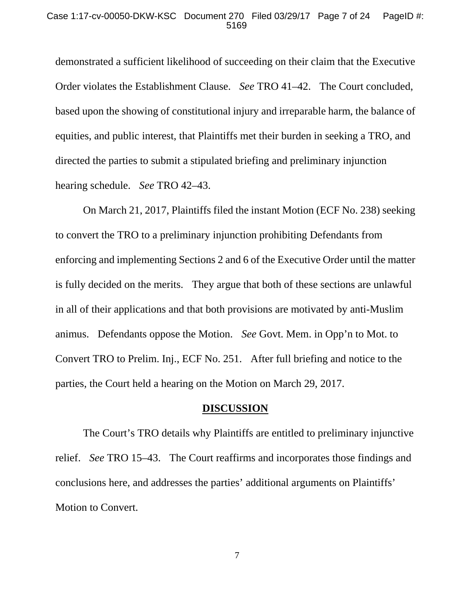demonstrated a sufficient likelihood of succeeding on their claim that the Executive Order violates the Establishment Clause. *See* TRO 41–42. The Court concluded, based upon the showing of constitutional injury and irreparable harm, the balance of equities, and public interest, that Plaintiffs met their burden in seeking a TRO, and directed the parties to submit a stipulated briefing and preliminary injunction hearing schedule. *See* TRO 42–43.

 On March 21, 2017, Plaintiffs filed the instant Motion (ECF No. 238) seeking to convert the TRO to a preliminary injunction prohibiting Defendants from enforcing and implementing Sections 2 and 6 of the Executive Order until the matter is fully decided on the merits. They argue that both of these sections are unlawful in all of their applications and that both provisions are motivated by anti-Muslim animus. Defendants oppose the Motion. *See* Govt. Mem. in Opp'n to Mot. to Convert TRO to Prelim. Inj., ECF No. 251. After full briefing and notice to the parties, the Court held a hearing on the Motion on March 29, 2017.

#### **DISCUSSION**

 The Court's TRO details why Plaintiffs are entitled to preliminary injunctive relief. *See* TRO 15–43. The Court reaffirms and incorporates those findings and conclusions here, and addresses the parties' additional arguments on Plaintiffs' Motion to Convert.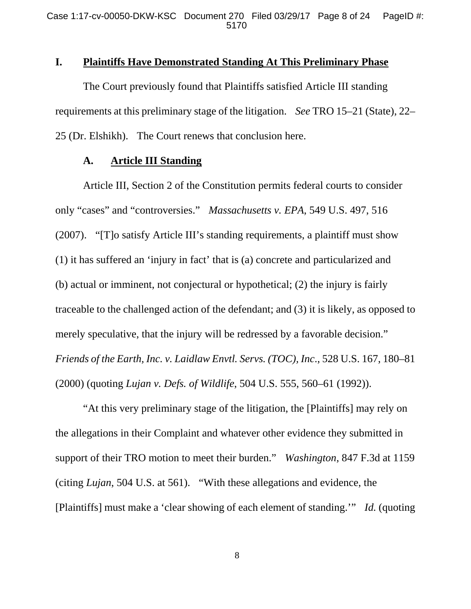# **I. Plaintiffs Have Demonstrated Standing At This Preliminary Phase**

 The Court previously found that Plaintiffs satisfied Article III standing requirements at this preliminary stage of the litigation. *See* TRO 15–21 (State), 22– 25 (Dr. Elshikh). The Court renews that conclusion here.

### **A. Article III Standing**

 Article III, Section 2 of the Constitution permits federal courts to consider only "cases" and "controversies." *Massachusetts v. EPA*, 549 U.S. 497, 516 (2007). "[T]o satisfy Article III's standing requirements, a plaintiff must show (1) it has suffered an 'injury in fact' that is (a) concrete and particularized and (b) actual or imminent, not conjectural or hypothetical; (2) the injury is fairly traceable to the challenged action of the defendant; and (3) it is likely, as opposed to merely speculative, that the injury will be redressed by a favorable decision." *Friends of the Earth, Inc. v. Laidlaw Envtl. Servs. (TOC), Inc*., 528 U.S. 167, 180–81 (2000) (quoting *Lujan v. Defs. of Wildlife*, 504 U.S. 555, 560–61 (1992)).

 "At this very preliminary stage of the litigation, the [Plaintiffs] may rely on the allegations in their Complaint and whatever other evidence they submitted in support of their TRO motion to meet their burden." *Washington*, 847 F.3d at 1159 (citing *Lujan*, 504 U.S. at 561). "With these allegations and evidence, the [Plaintiffs] must make a 'clear showing of each element of standing.'" *Id.* (quoting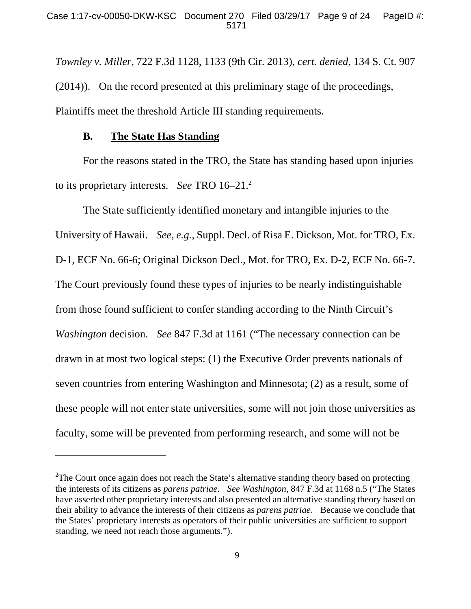*Townley v. Miller*, 722 F.3d 1128, 1133 (9th Cir. 2013), *cert. denied*, 134 S. Ct. 907 (2014)). On the record presented at this preliminary stage of the proceedings, Plaintiffs meet the threshold Article III standing requirements.

### **B. The State Has Standing**

-

 For the reasons stated in the TRO, the State has standing based upon injuries to its proprietary interests. *See* TRO 16–21.2

 The State sufficiently identified monetary and intangible injuries to the University of Hawaii. *See, e.g.*, Suppl. Decl. of Risa E. Dickson, Mot. for TRO, Ex. D-1, ECF No. 66-6; Original Dickson Decl., Mot. for TRO, Ex. D-2, ECF No. 66-7. The Court previously found these types of injuries to be nearly indistinguishable from those found sufficient to confer standing according to the Ninth Circuit's *Washington* decision. *See* 847 F.3d at 1161 ("The necessary connection can be drawn in at most two logical steps: (1) the Executive Order prevents nationals of seven countries from entering Washington and Minnesota; (2) as a result, some of these people will not enter state universities, some will not join those universities as faculty, some will be prevented from performing research, and some will not be

<sup>&</sup>lt;sup>2</sup>The Court once again does not reach the State's alternative standing theory based on protecting the interests of its citizens as *parens patriae*. *See Washington*, 847 F.3d at 1168 n.5 ("The States have asserted other proprietary interests and also presented an alternative standing theory based on their ability to advance the interests of their citizens as *parens patriae*. Because we conclude that the States' proprietary interests as operators of their public universities are sufficient to support standing, we need not reach those arguments.").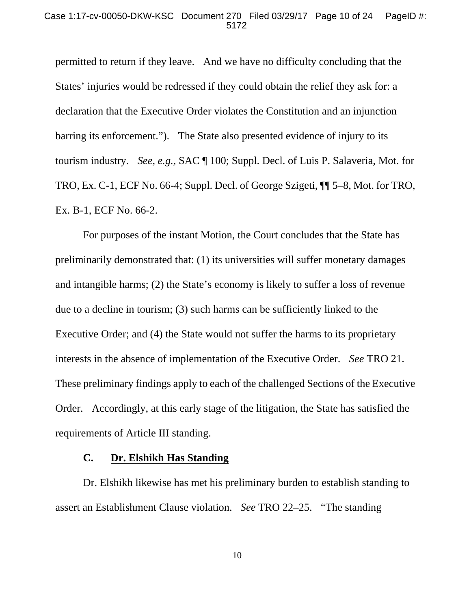permitted to return if they leave. And we have no difficulty concluding that the States' injuries would be redressed if they could obtain the relief they ask for: a declaration that the Executive Order violates the Constitution and an injunction barring its enforcement."). The State also presented evidence of injury to its tourism industry. *See, e.g.,* SAC ¶ 100; Suppl. Decl. of Luis P. Salaveria, Mot. for TRO, Ex. C-1, ECF No. 66-4; Suppl. Decl. of George Szigeti, ¶¶ 5–8, Mot. for TRO, Ex. B-1, ECF No. 66-2.

 For purposes of the instant Motion, the Court concludes that the State has preliminarily demonstrated that: (1) its universities will suffer monetary damages and intangible harms; (2) the State's economy is likely to suffer a loss of revenue due to a decline in tourism; (3) such harms can be sufficiently linked to the Executive Order; and (4) the State would not suffer the harms to its proprietary interests in the absence of implementation of the Executive Order. *See* TRO 21. These preliminary findings apply to each of the challenged Sections of the Executive Order. Accordingly, at this early stage of the litigation, the State has satisfied the requirements of Article III standing.

### **C. Dr. Elshikh Has Standing**

 Dr. Elshikh likewise has met his preliminary burden to establish standing to assert an Establishment Clause violation. *See* TRO 22–25. "The standing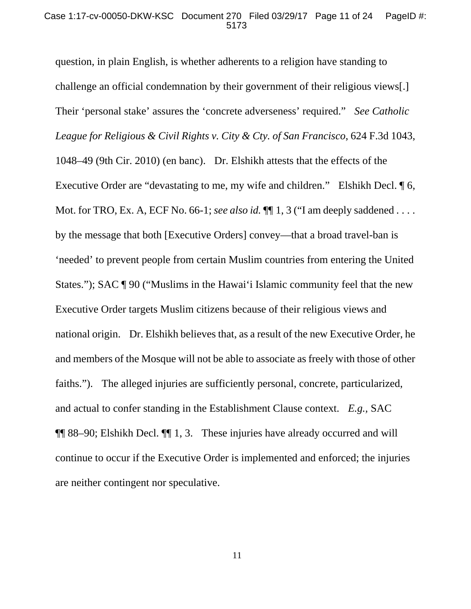question, in plain English, is whether adherents to a religion have standing to challenge an official condemnation by their government of their religious views[.] Their 'personal stake' assures the 'concrete adverseness' required." *See Catholic League for Religious & Civil Rights v. City & Cty. of San Francisco*, 624 F.3d 1043, 1048–49 (9th Cir. 2010) (en banc). Dr. Elshikh attests that the effects of the Executive Order are "devastating to me, my wife and children." Elshikh Decl.  $\llbracket 6$ , Mot. for TRO, Ex. A, ECF No. 66-1; *see also id.*  $\P$ [1, 3 ("I am deeply saddened . . . . by the message that both [Executive Orders] convey—that a broad travel-ban is 'needed' to prevent people from certain Muslim countries from entering the United States."); SAC ¶ 90 ("Muslims in the Hawai'i Islamic community feel that the new Executive Order targets Muslim citizens because of their religious views and national origin. Dr. Elshikh believes that, as a result of the new Executive Order, he and members of the Mosque will not be able to associate as freely with those of other faiths."). The alleged injuries are sufficiently personal, concrete, particularized, and actual to confer standing in the Establishment Clause context. *E.g.,* SAC ¶¶ 88–90; Elshikh Decl. ¶¶ 1, 3. These injuries have already occurred and will continue to occur if the Executive Order is implemented and enforced; the injuries are neither contingent nor speculative.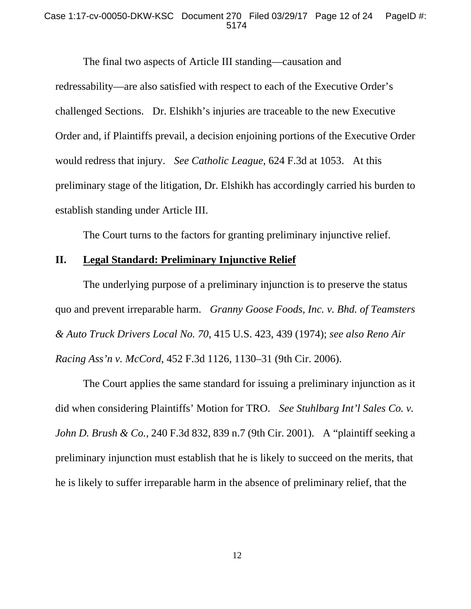#### Case 1:17-cv-00050-DKW-KSC Document 270 Filed 03/29/17 Page 12 of 24 PageID #: 5174

 The final two aspects of Article III standing—causation and redressability—are also satisfied with respect to each of the Executive Order's challenged Sections. Dr. Elshikh's injuries are traceable to the new Executive Order and, if Plaintiffs prevail, a decision enjoining portions of the Executive Order would redress that injury. *See Catholic League*, 624 F.3d at 1053. At this preliminary stage of the litigation, Dr. Elshikh has accordingly carried his burden to establish standing under Article III.

The Court turns to the factors for granting preliminary injunctive relief.

# **II. Legal Standard: Preliminary Injunctive Relief**

 The underlying purpose of a preliminary injunction is to preserve the status quo and prevent irreparable harm. *Granny Goose Foods, Inc. v. Bhd. of Teamsters & Auto Truck Drivers Local No. 70*, 415 U.S. 423, 439 (1974); *see also Reno Air Racing Ass'n v. McCord*, 452 F.3d 1126, 1130–31 (9th Cir. 2006).

 The Court applies the same standard for issuing a preliminary injunction as it did when considering Plaintiffs' Motion for TRO. *See Stuhlbarg Int'l Sales Co. v. John D. Brush & Co.*, 240 F.3d 832, 839 n.7 (9th Cir. 2001). A "plaintiff seeking a preliminary injunction must establish that he is likely to succeed on the merits, that he is likely to suffer irreparable harm in the absence of preliminary relief, that the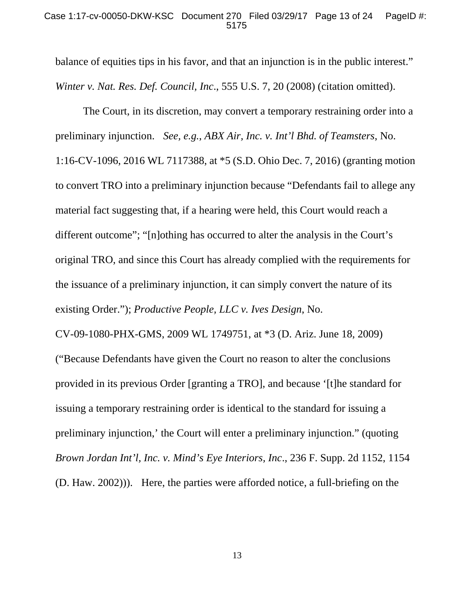#### Case 1:17-cv-00050-DKW-KSC Document 270 Filed 03/29/17 Page 13 of 24 PageID #: 5175

balance of equities tips in his favor, and that an injunction is in the public interest." *Winter v. Nat. Res. Def. Council, Inc*., 555 U.S. 7, 20 (2008) (citation omitted).

 The Court, in its discretion, may convert a temporary restraining order into a preliminary injunction. *See, e.g.*, *ABX Air, Inc. v. Int'l Bhd. of Teamsters*, No. 1:16-CV-1096, 2016 WL 7117388, at \*5 (S.D. Ohio Dec. 7, 2016) (granting motion to convert TRO into a preliminary injunction because "Defendants fail to allege any material fact suggesting that, if a hearing were held, this Court would reach a different outcome"; "[n]othing has occurred to alter the analysis in the Court's original TRO, and since this Court has already complied with the requirements for the issuance of a preliminary injunction, it can simply convert the nature of its existing Order."); *Productive People, LLC v. Ives Design*, No.

CV-09-1080-PHX-GMS, 2009 WL 1749751, at \*3 (D. Ariz. June 18, 2009) ("Because Defendants have given the Court no reason to alter the conclusions provided in its previous Order [granting a TRO], and because '[t]he standard for issuing a temporary restraining order is identical to the standard for issuing a preliminary injunction,' the Court will enter a preliminary injunction." (quoting *Brown Jordan Int'l, Inc. v. Mind's Eye Interiors, Inc*., 236 F. Supp. 2d 1152, 1154 (D. Haw. 2002))). Here, the parties were afforded notice, a full-briefing on the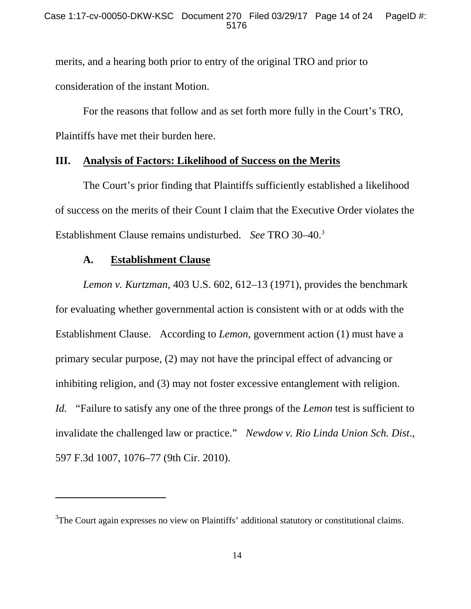merits, and a hearing both prior to entry of the original TRO and prior to consideration of the instant Motion.

 For the reasons that follow and as set forth more fully in the Court's TRO, Plaintiffs have met their burden here.

## **III. Analysis of Factors: Likelihood of Success on the Merits**

 The Court's prior finding that Plaintiffs sufficiently established a likelihood of success on the merits of their Count I claim that the Executive Order violates the Establishment Clause remains undisturbed. *See* TRO 30–40.3

# **A. Establishment Clause**

-

*Lemon v. Kurtzman*, 403 U.S. 602, 612–13 (1971), provides the benchmark for evaluating whether governmental action is consistent with or at odds with the Establishment Clause. According to *Lemon*, government action (1) must have a primary secular purpose, (2) may not have the principal effect of advancing or inhibiting religion, and (3) may not foster excessive entanglement with religion. *Id.* "Failure to satisfy any one of the three prongs of the *Lemon* test is sufficient to invalidate the challenged law or practice." *Newdow v. Rio Linda Union Sch. Dist*., 597 F.3d 1007, 1076–77 (9th Cir. 2010).

 $3$ The Court again expresses no view on Plaintiffs' additional statutory or constitutional claims.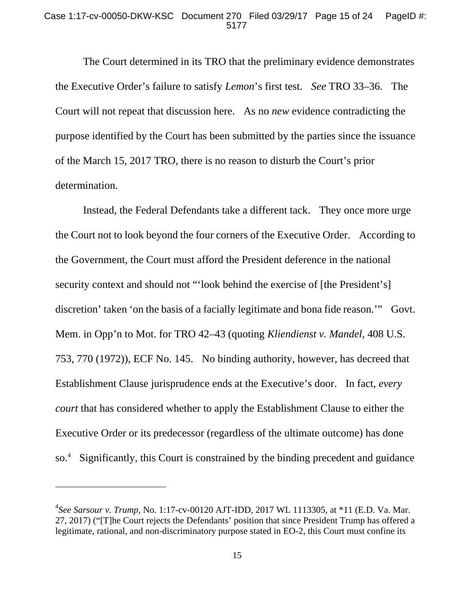#### Case 1:17-cv-00050-DKW-KSC Document 270 Filed 03/29/17 Page 15 of 24 PageID #: 5177

 The Court determined in its TRO that the preliminary evidence demonstrates the Executive Order's failure to satisfy *Lemon*'s first test. *See* TRO 33–36. The Court will not repeat that discussion here. As no *new* evidence contradicting the purpose identified by the Court has been submitted by the parties since the issuance of the March 15, 2017 TRO, there is no reason to disturb the Court's prior determination.

 Instead, the Federal Defendants take a different tack. They once more urge the Court not to look beyond the four corners of the Executive Order. According to the Government, the Court must afford the President deference in the national security context and should not "'look behind the exercise of [the President's] discretion' taken 'on the basis of a facially legitimate and bona fide reason.'" Govt. Mem. in Opp'n to Mot. for TRO 42–43 (quoting *Kliendienst v. Mandel*, 408 U.S. 753, 770 (1972)), ECF No. 145. No binding authority, however, has decreed that Establishment Clause jurisprudence ends at the Executive's door. In fact, *every court* that has considered whether to apply the Establishment Clause to either the Executive Order or its predecessor (regardless of the ultimate outcome) has done so.4 Significantly, this Court is constrained by the binding precedent and guidance

 $\overline{a}$ 

<sup>4</sup> *See Sarsour v. Trump*, No. 1:17-cv-00120 AJT-IDD, 2017 WL 1113305, at \*11 (E.D. Va. Mar. 27, 2017) ("[T]he Court rejects the Defendants' position that since President Trump has offered a legitimate, rational, and non-discriminatory purpose stated in EO-2, this Court must confine its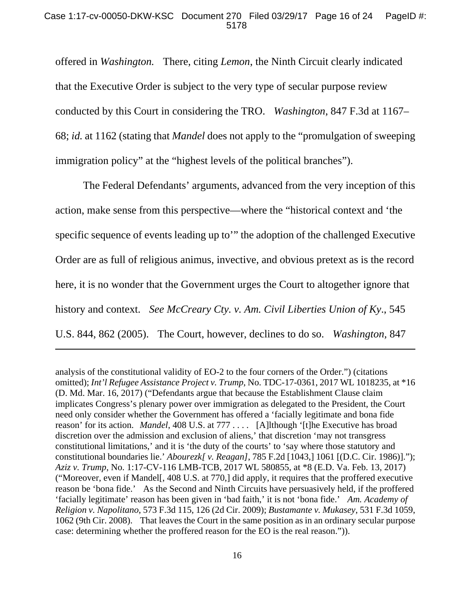#### Case 1:17-cv-00050-DKW-KSC Document 270 Filed 03/29/17 Page 16 of 24 PageID #: 5178

offered in *Washington.* There, citing *Lemon*, the Ninth Circuit clearly indicated that the Executive Order is subject to the very type of secular purpose review conducted by this Court in considering the TRO. *Washington*, 847 F.3d at 1167– 68; *id.* at 1162 (stating that *Mandel* does not apply to the "promulgation of sweeping immigration policy" at the "highest levels of the political branches").

 The Federal Defendants' arguments, advanced from the very inception of this action, make sense from this perspective—where the "historical context and 'the specific sequence of events leading up to'" the adoption of the challenged Executive Order are as full of religious animus, invective, and obvious pretext as is the record here, it is no wonder that the Government urges the Court to altogether ignore that history and context. *See McCreary Cty. v. Am. Civil Liberties Union of Ky*., 545 U.S. 844, 862 (2005). The Court, however, declines to do so. *Washington,* 847

-

analysis of the constitutional validity of EO-2 to the four corners of the Order.") (citations omitted); *Int'l Refugee Assistance Project v. Trump*, No. TDC-17-0361, 2017 WL 1018235, at \*16 (D. Md. Mar. 16, 2017) ("Defendants argue that because the Establishment Clause claim implicates Congress's plenary power over immigration as delegated to the President, the Court need only consider whether the Government has offered a 'facially legitimate and bona fide reason' for its action. *Mandel*, 408 U.S. at 777 . . . . [A]lthough '[t]he Executive has broad discretion over the admission and exclusion of aliens,' that discretion 'may not transgress constitutional limitations,' and it is 'the duty of the courts' to 'say where those statutory and constitutional boundaries lie.' *Abourezk[ v. Reagan]*, 785 F.2d [1043,] 1061 [(D.C. Cir. 1986)]."); *Aziz v. Trump*, No. 1:17-CV-116 LMB-TCB, 2017 WL 580855, at \*8 (E.D. Va. Feb. 13, 2017) ("Moreover, even if Mandel[, 408 U.S. at 770,] did apply, it requires that the proffered executive reason be 'bona fide.' As the Second and Ninth Circuits have persuasively held, if the proffered 'facially legitimate' reason has been given in 'bad faith,' it is not 'bona fide.' *Am. Academy of Religion v. Napolitano*, 573 F.3d 115, 126 (2d Cir. 2009); *Bustamante v. Mukasey*, 531 F.3d 1059, 1062 (9th Cir. 2008). That leaves the Court in the same position as in an ordinary secular purpose case: determining whether the proffered reason for the EO is the real reason.")).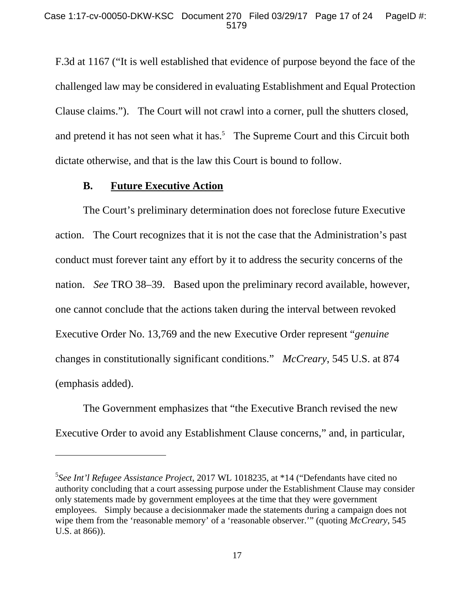F.3d at 1167 ("It is well established that evidence of purpose beyond the face of the challenged law may be considered in evaluating Establishment and Equal Protection Clause claims."). The Court will not crawl into a corner, pull the shutters closed, and pretend it has not seen what it has.<sup>5</sup> The Supreme Court and this Circuit both dictate otherwise, and that is the law this Court is bound to follow.

### **B. Future Executive Action**

 $\overline{a}$ 

 The Court's preliminary determination does not foreclose future Executive action. The Court recognizes that it is not the case that the Administration's past conduct must forever taint any effort by it to address the security concerns of the nation. *See* TRO 38–39. Based upon the preliminary record available, however, one cannot conclude that the actions taken during the interval between revoked Executive Order No. 13,769 and the new Executive Order represent "*genuine*  changes in constitutionally significant conditions." *McCreary*, 545 U.S. at 874 (emphasis added).

 The Government emphasizes that "the Executive Branch revised the new Executive Order to avoid any Establishment Clause concerns," and, in particular,

<sup>5</sup> *See Int'l Refugee Assistance Project*, 2017 WL 1018235, at \*14 ("Defendants have cited no authority concluding that a court assessing purpose under the Establishment Clause may consider only statements made by government employees at the time that they were government employees. Simply because a decisionmaker made the statements during a campaign does not wipe them from the 'reasonable memory' of a 'reasonable observer.'" (quoting *McCreary*, 545 U.S. at 866)).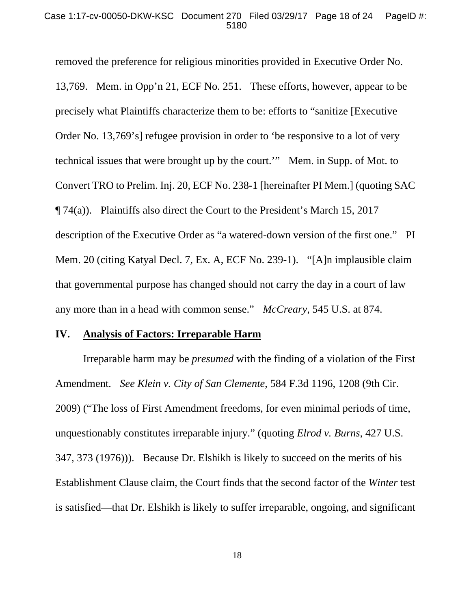#### Case 1:17-cv-00050-DKW-KSC Document 270 Filed 03/29/17 Page 18 of 24 PageID #: 5180

removed the preference for religious minorities provided in Executive Order No. 13,769. Mem. in Opp'n 21, ECF No. 251. These efforts, however, appear to be precisely what Plaintiffs characterize them to be: efforts to "sanitize [Executive Order No. 13,769's] refugee provision in order to 'be responsive to a lot of very technical issues that were brought up by the court.'" Mem. in Supp. of Mot. to Convert TRO to Prelim. Inj. 20, ECF No. 238-1 [hereinafter PI Mem.] (quoting SAC  $\P$  74(a)). Plaintiffs also direct the Court to the President's March 15, 2017 description of the Executive Order as "a watered-down version of the first one." PI Mem. 20 (citing Katyal Decl. 7, Ex. A, ECF No. 239-1). "[A]n implausible claim that governmental purpose has changed should not carry the day in a court of law any more than in a head with common sense." *McCreary*, 545 U.S. at 874.

#### **IV. Analysis of Factors: Irreparable Harm**

 Irreparable harm may be *presumed* with the finding of a violation of the First Amendment. *See Klein v. City of San Clemente*, 584 F.3d 1196, 1208 (9th Cir. 2009) ("The loss of First Amendment freedoms, for even minimal periods of time, unquestionably constitutes irreparable injury." (quoting *Elrod v. Burns*, 427 U.S. 347, 373 (1976))). Because Dr. Elshikh is likely to succeed on the merits of his Establishment Clause claim, the Court finds that the second factor of the *Winter* test is satisfied—that Dr. Elshikh is likely to suffer irreparable, ongoing, and significant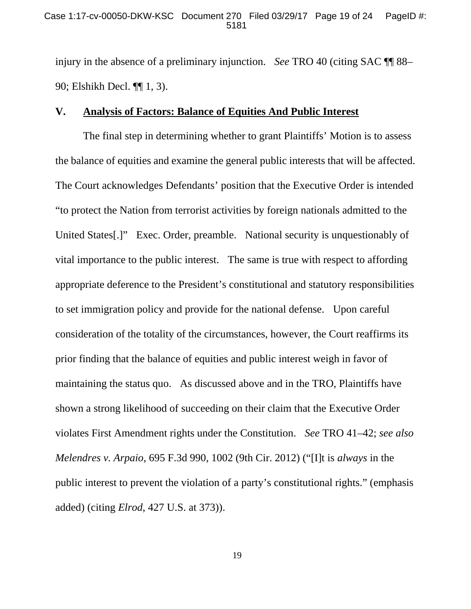injury in the absence of a preliminary injunction. *See* TRO 40 (citing SAC ¶¶ 88– 90; Elshikh Decl. ¶¶ 1, 3).

### **V. Analysis of Factors: Balance of Equities And Public Interest**

The final step in determining whether to grant Plaintiffs' Motion is to assess the balance of equities and examine the general public interests that will be affected. The Court acknowledges Defendants' position that the Executive Order is intended "to protect the Nation from terrorist activities by foreign nationals admitted to the United States[.]" Exec. Order, preamble. National security is unquestionably of vital importance to the public interest. The same is true with respect to affording appropriate deference to the President's constitutional and statutory responsibilities to set immigration policy and provide for the national defense. Upon careful consideration of the totality of the circumstances, however, the Court reaffirms its prior finding that the balance of equities and public interest weigh in favor of maintaining the status quo. As discussed above and in the TRO, Plaintiffs have shown a strong likelihood of succeeding on their claim that the Executive Order violates First Amendment rights under the Constitution. *See* TRO 41–42; *see also Melendres v. Arpaio*, 695 F.3d 990, 1002 (9th Cir. 2012) ("[I]t is *always* in the public interest to prevent the violation of a party's constitutional rights." (emphasis added) (citing *Elrod*, 427 U.S. at 373)).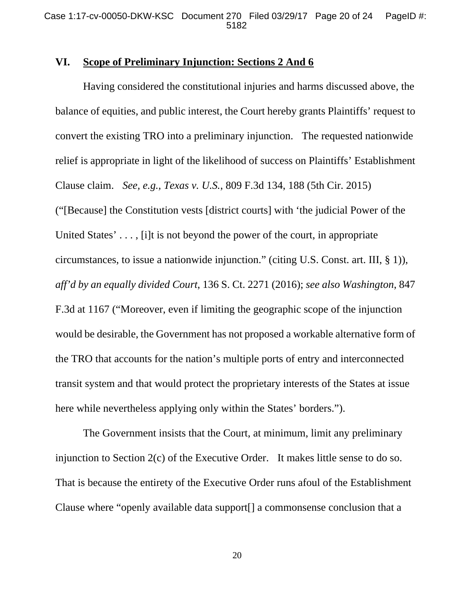### **VI. Scope of Preliminary Injunction: Sections 2 And 6**

Having considered the constitutional injuries and harms discussed above, the balance of equities, and public interest, the Court hereby grants Plaintiffs' request to convert the existing TRO into a preliminary injunction. The requested nationwide relief is appropriate in light of the likelihood of success on Plaintiffs' Establishment Clause claim. *See, e.g., Texas v. U.S.*, 809 F.3d 134, 188 (5th Cir. 2015) ("[Because] the Constitution vests [district courts] with 'the judicial Power of the United States'..., [i]t is not beyond the power of the court, in appropriate circumstances, to issue a nationwide injunction." (citing U.S. Const. art. III, § 1)), *aff'd by an equally divided Court*, 136 S. Ct. 2271 (2016); *see also Washington*, 847 F.3d at 1167 ("Moreover, even if limiting the geographic scope of the injunction would be desirable, the Government has not proposed a workable alternative form of the TRO that accounts for the nation's multiple ports of entry and interconnected transit system and that would protect the proprietary interests of the States at issue here while nevertheless applying only within the States' borders.").

The Government insists that the Court, at minimum, limit any preliminary injunction to Section 2(c) of the Executive Order. It makes little sense to do so. That is because the entirety of the Executive Order runs afoul of the Establishment Clause where "openly available data support[] a commonsense conclusion that a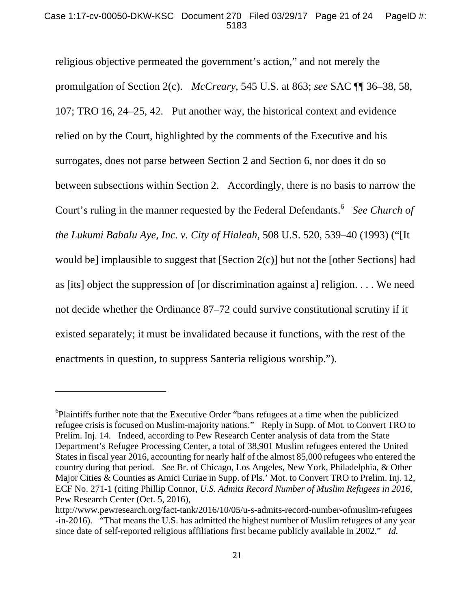religious objective permeated the government's action," and not merely the promulgation of Section 2(c). *McCreary*, 545 U.S. at 863; *see* SAC ¶¶ 36–38, 58, 107; TRO 16, 24–25, 42. Put another way, the historical context and evidence relied on by the Court, highlighted by the comments of the Executive and his surrogates, does not parse between Section 2 and Section 6, nor does it do so between subsections within Section 2. Accordingly, there is no basis to narrow the Court's ruling in the manner requested by the Federal Defendants.<sup>6</sup> See Church of *the Lukumi Babalu Aye, Inc. v. City of Hialeah*, 508 U.S. 520, 539–40 (1993) ("[It would be] implausible to suggest that [Section 2(c)] but not the [other Sections] had as [its] object the suppression of [or discrimination against a] religion. . . . We need not decide whether the Ordinance 87–72 could survive constitutional scrutiny if it existed separately; it must be invalidated because it functions, with the rest of the enactments in question, to suppress Santeria religious worship.").

 $\overline{a}$ 

<sup>&</sup>lt;sup>6</sup>Plaintiffs further note that the Executive Order "bans refugees at a time when the publicized refugee crisis is focused on Muslim-majority nations." Reply in Supp. of Mot. to Convert TRO to Prelim. Inj. 14. Indeed, according to Pew Research Center analysis of data from the State Department's Refugee Processing Center, a total of 38,901 Muslim refugees entered the United States in fiscal year 2016, accounting for nearly half of the almost 85,000 refugees who entered the country during that period. *See* Br. of Chicago, Los Angeles, New York, Philadelphia, & Other Major Cities & Counties as Amici Curiae in Supp. of Pls.' Mot. to Convert TRO to Prelim. Inj. 12, ECF No. 271-1 (citing Phillip Connor, *U.S. Admits Record Number of Muslim Refugees in 2016*, Pew Research Center (Oct. 5, 2016),

http://www.pewresearch.org/fact-tank/2016/10/05/u-s-admits-record-number-ofmuslim-refugees -in-2016). "That means the U.S. has admitted the highest number of Muslim refugees of any year since date of self-reported religious affiliations first became publicly available in 2002." *Id.*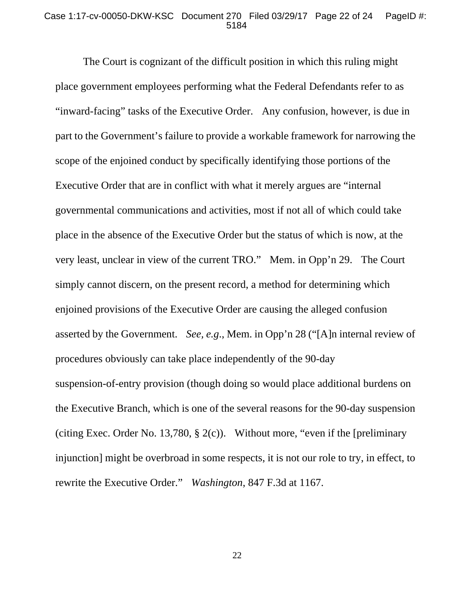#### Case 1:17-cv-00050-DKW-KSC Document 270 Filed 03/29/17 Page 22 of 24 PageID #: 5184

The Court is cognizant of the difficult position in which this ruling might place government employees performing what the Federal Defendants refer to as "inward-facing" tasks of the Executive Order. Any confusion, however, is due in part to the Government's failure to provide a workable framework for narrowing the scope of the enjoined conduct by specifically identifying those portions of the Executive Order that are in conflict with what it merely argues are "internal governmental communications and activities, most if not all of which could take place in the absence of the Executive Order but the status of which is now, at the very least, unclear in view of the current TRO." Mem. in Opp'n 29. The Court simply cannot discern, on the present record, a method for determining which enjoined provisions of the Executive Order are causing the alleged confusion asserted by the Government. *See, e.g*., Mem. in Opp'n 28 ("[A]n internal review of procedures obviously can take place independently of the 90-day suspension-of-entry provision (though doing so would place additional burdens on the Executive Branch, which is one of the several reasons for the 90-day suspension (citing Exec. Order No. 13,780,  $\S$  2(c)). Without more, "even if the [preliminary injunction] might be overbroad in some respects, it is not our role to try, in effect, to rewrite the Executive Order." *Washington*, 847 F.3d at 1167.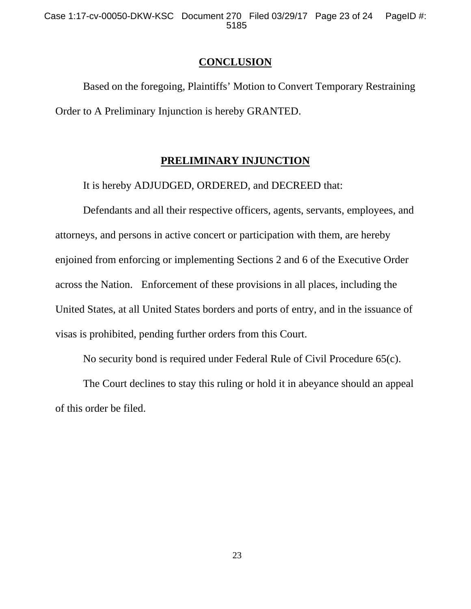Case 1:17-cv-00050-DKW-KSC Document 270 Filed 03/29/17 Page 23 of 24 PageID #: 5185

#### **CONCLUSION**

 Based on the foregoing, Plaintiffs' Motion to Convert Temporary Restraining Order to A Preliminary Injunction is hereby GRANTED.

### **PRELIMINARY INJUNCTION**

It is hereby ADJUDGED, ORDERED, and DECREED that:

 Defendants and all their respective officers, agents, servants, employees, and attorneys, and persons in active concert or participation with them, are hereby enjoined from enforcing or implementing Sections 2 and 6 of the Executive Order across the Nation. Enforcement of these provisions in all places, including the United States, at all United States borders and ports of entry, and in the issuance of visas is prohibited, pending further orders from this Court.

No security bond is required under Federal Rule of Civil Procedure 65(c).

 The Court declines to stay this ruling or hold it in abeyance should an appeal of this order be filed.